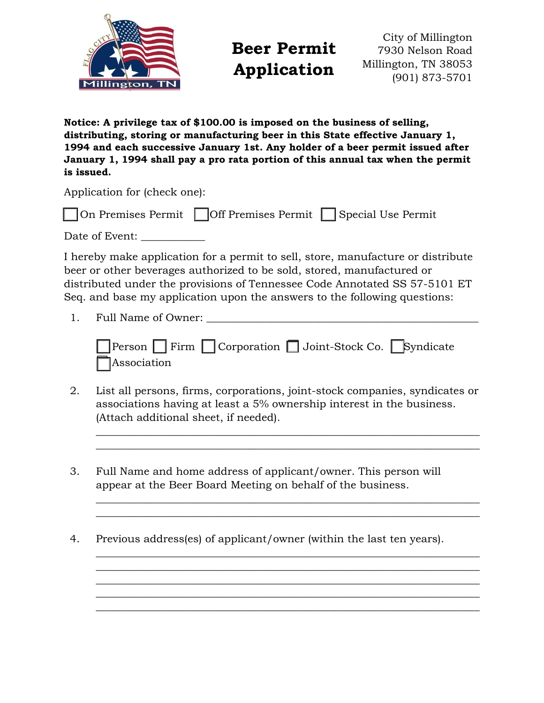

**Beer Permit Application**

City of Millington 7930 Nelson Road Millington, TN 38053 (901) 873-5701

**Notice: A privilege tax of \$100.00 is imposed on the business of selling, distributing, storing or manufacturing beer in this State effective January 1, 1994 and each successive January 1st. Any holder of a beer permit issued after January 1, 1994 shall pay a pro rata portion of this annual tax when the permit is issued.**

Application for (check one):

| □ On Premises Permit □ Off Premises Permit □ Special Use Permit |  |
|-----------------------------------------------------------------|--|
| Date of Event:                                                  |  |

I hereby make application for a permit to sell, store, manufacture or distribute beer or other beverages authorized to be sold, stored, manufactured or distributed under the provisions of Tennessee Code Annotated SS 57-5101 ET Seq. and base my application upon the answers to the following questions:

1. Full Name of Owner:

|             |  | Person Firm Corporation Joint-Stock Co. Syndicate |  |
|-------------|--|---------------------------------------------------|--|
| Association |  |                                                   |  |

2. List all persons, firms, corporations, joint-stock companies, syndicates or associations having at least a 5% ownership interest in the business. (Attach additional sheet, if needed).

 $\_$  , and the set of the set of the set of the set of the set of the set of the set of the set of the set of the set of the set of the set of the set of the set of the set of the set of the set of the set of the set of th  $\_$  , and the set of the set of the set of the set of the set of the set of the set of the set of the set of the set of the set of the set of the set of the set of the set of the set of the set of the set of the set of th

 $\_$  , and the set of the set of the set of the set of the set of the set of the set of the set of the set of the set of the set of the set of the set of the set of the set of the set of the set of the set of the set of th  $\_$  , and the set of the set of the set of the set of the set of the set of the set of the set of the set of the set of the set of the set of the set of the set of the set of the set of the set of the set of the set of th

 $\_$  , and the set of the set of the set of the set of the set of the set of the set of the set of the set of the set of the set of the set of the set of the set of the set of the set of the set of the set of the set of th  $\_$  , and the set of the set of the set of the set of the set of the set of the set of the set of the set of the set of the set of the set of the set of the set of the set of the set of the set of the set of the set of th  $\_$  , and the set of the set of the set of the set of the set of the set of the set of the set of the set of the set of the set of the set of the set of the set of the set of the set of the set of the set of the set of th  $\_$  , and the set of the set of the set of the set of the set of the set of the set of the set of the set of the set of the set of the set of the set of the set of the set of the set of the set of the set of the set of th  $\_$  , and the set of the set of the set of the set of the set of the set of the set of the set of the set of the set of the set of the set of the set of the set of the set of the set of the set of the set of the set of th

- 3. Full Name and home address of applicant/owner. This person will appear at the Beer Board Meeting on behalf of the business.
- 4. Previous address(es) of applicant/owner (within the last ten years).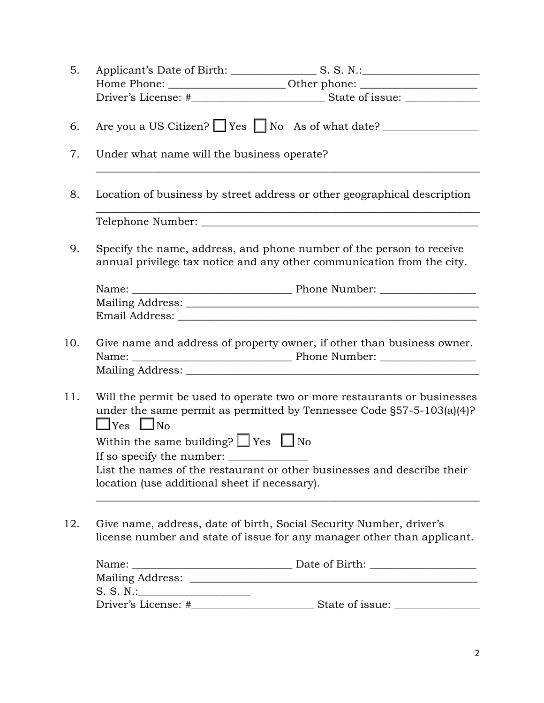| 5.  |                                                                                                                                                                           |  |  |  |  |
|-----|---------------------------------------------------------------------------------------------------------------------------------------------------------------------------|--|--|--|--|
|     | Home Phone: ___________________________Other phone: ____________________________                                                                                          |  |  |  |  |
|     |                                                                                                                                                                           |  |  |  |  |
| 6.  | Are you a US Citizen? Yes No As of what date?                                                                                                                             |  |  |  |  |
| 7.  | Under what name will the business operate?                                                                                                                                |  |  |  |  |
| 8.  | Location of business by street address or other geographical description                                                                                                  |  |  |  |  |
|     |                                                                                                                                                                           |  |  |  |  |
| 9.  | Specify the name, address, and phone number of the person to receive<br>annual privilege tax notice and any other communication from the city.                            |  |  |  |  |
|     |                                                                                                                                                                           |  |  |  |  |
|     |                                                                                                                                                                           |  |  |  |  |
|     |                                                                                                                                                                           |  |  |  |  |
| 10. | Give name and address of property owner, if other than business owner.                                                                                                    |  |  |  |  |
|     |                                                                                                                                                                           |  |  |  |  |
| 11. | Will the permit be used to operate two or more restaurants or businesses<br>under the same permit as permitted by Tennessee Code §57-5-103(a)(4)?<br>$\Box$ Yes $\Box$ No |  |  |  |  |
|     | Within the same building? $\Box$ Yes $\Box$ No                                                                                                                            |  |  |  |  |
|     | If so specify the number:                                                                                                                                                 |  |  |  |  |
|     | List the names of the restaurant or other businesses and describe their                                                                                                   |  |  |  |  |
|     | location (use additional sheet if necessary).                                                                                                                             |  |  |  |  |
|     |                                                                                                                                                                           |  |  |  |  |
| 12. | Give name, address, date of birth, Social Security Number, driver's<br>license number and state of issue for any manager other than applicant.                            |  |  |  |  |
|     |                                                                                                                                                                           |  |  |  |  |
|     |                                                                                                                                                                           |  |  |  |  |
|     | S. S. N.:                                                                                                                                                                 |  |  |  |  |
|     |                                                                                                                                                                           |  |  |  |  |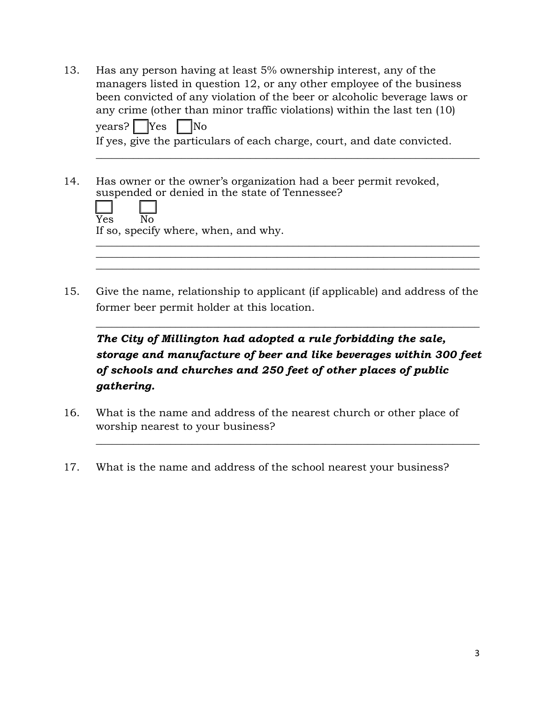13. Has any person having at least 5% ownership interest, any of the managers listed in question 12, or any other employee of the business been convicted of any violation of the beer or alcoholic beverage laws or any crime (other than minor traffic violations) within the last ten (10)  $\text{years?}$   $\sqrt{\text{Yes}}$   $\sqrt{\text{No}}$ If yes, give the particulars of each charge, court, and date convicted.

 $\_$  , and the set of the set of the set of the set of the set of the set of the set of the set of the set of the set of the set of the set of the set of the set of the set of the set of the set of the set of the set of th

 $\_$  , and the set of the set of the set of the set of the set of the set of the set of the set of the set of the set of the set of the set of the set of the set of the set of the set of the set of the set of the set of th  $\_$  , and the set of the set of the set of the set of the set of the set of the set of the set of the set of the set of the set of the set of the set of the set of the set of the set of the set of the set of the set of th

14. Has owner or the owner's organization had a beer permit revoked, suspended or denied in the state of Tennessee?

| $\overline{Yes}$ |                                      |  |
|------------------|--------------------------------------|--|
|                  | If so, specify where, when, and why. |  |

15. Give the name, relationship to applicant (if applicable) and address of the former beer permit holder at this location.

*The City of Millington had adopted a rule forbidding the sale, storage and manufacture of beer and like beverages within 300 feet of schools and churches and 250 feet of other places of public gathering.*

 $\_$  , and the set of the set of the set of the set of the set of the set of the set of the set of the set of the set of the set of the set of the set of the set of the set of the set of the set of the set of the set of th

 $\_$  , and the set of the set of the set of the set of the set of the set of the set of the set of the set of the set of the set of the set of the set of the set of the set of the set of the set of the set of the set of th

- 16. What is the name and address of the nearest church or other place of worship nearest to your business?
- 17. What is the name and address of the school nearest your business?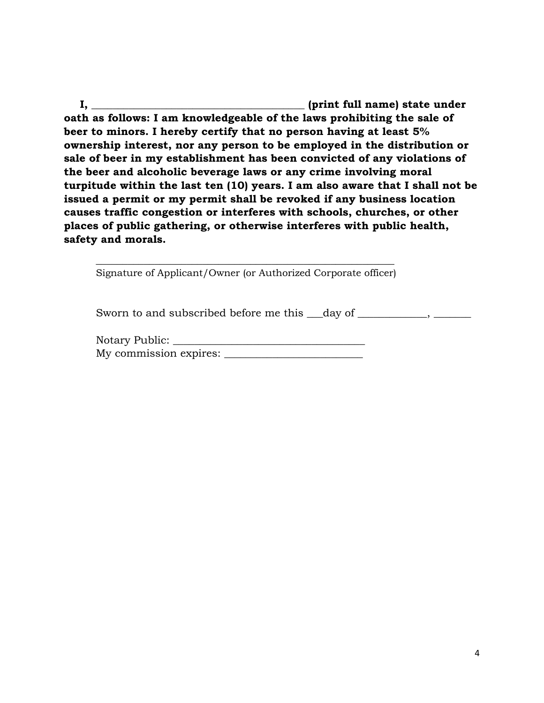**I, \_\_\_\_\_\_\_\_\_\_\_\_\_\_\_\_\_\_\_\_\_\_\_\_\_\_\_\_\_\_\_\_\_\_\_\_\_\_\_\_ (print full name) state under oath as follows: I am knowledgeable of the laws prohibiting the sale of beer to minors. I hereby certify that no person having at least 5% ownership interest, nor any person to be employed in the distribution or sale of beer in my establishment has been convicted of any violations of the beer and alcoholic beverage laws or any crime involving moral turpitude within the last ten (10) years. I am also aware that I shall not be issued a permit or my permit shall be revoked if any business location causes traffic congestion or interferes with schools, churches, or other places of public gathering, or otherwise interferes with public health, safety and morals.** 

\_\_\_\_\_\_\_\_\_\_\_\_\_\_\_\_\_\_\_\_\_\_\_\_\_\_\_\_\_\_\_\_\_\_\_\_\_\_\_\_\_\_\_\_\_\_\_\_\_\_\_\_\_\_\_\_ Signature of Applicant/Owner (or Authorized Corporate officer)

Sworn to and subscribed before me this \_\_\_\_day of \_\_\_\_\_\_\_\_\_\_\_,

Notary Public: \_\_\_\_\_\_\_\_\_\_\_\_\_\_\_\_\_\_\_\_\_\_\_\_\_\_\_\_\_\_\_\_\_\_\_\_ My commission expires: \_\_\_\_\_\_\_\_\_\_\_\_\_\_\_\_\_\_\_\_\_\_\_\_\_\_